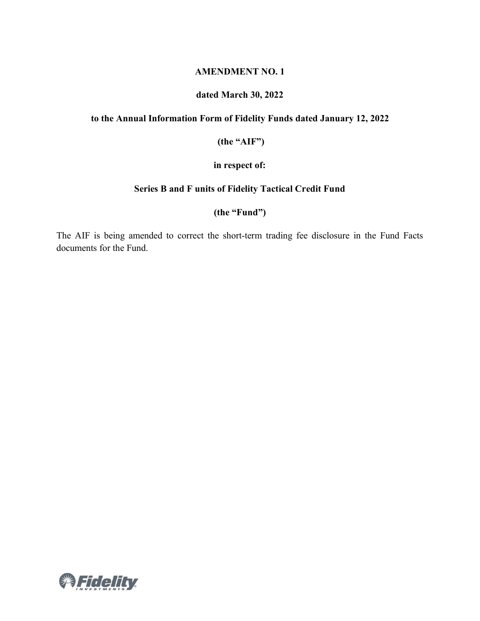#### **AMENDMENT NO. 1**

## **dated March 30, 2022**

#### **to the Annual Information Form of Fidelity Funds dated January 12, 2022**

**(the "AIF")**

#### **in respect of:**

#### **Series B and F units of Fidelity Tactical Credit Fund**

#### **(the "Fund")**

The AIF is being amended to correct the short-term trading fee disclosure in the Fund Facts documents for the Fund.